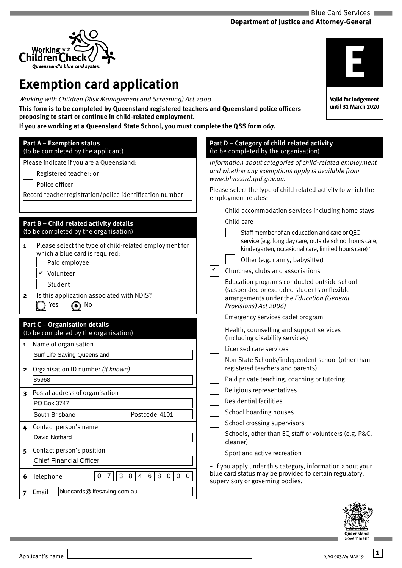

# **Exemption card application**

*Working with Children (Risk Management and Screening) Act 2000*

**This form is to be completed by Queensland registered teachers and Queensland police officers proposing to start or continue in child-related employment.**

**If you are working at a Queensland State School, you must complete the QSS form 067.**

| <b>Part A - Exemption status</b><br>(to be completed by the applicant)                                                                                                                                                                                                                                                  | Part D - Category of child related activity<br>(to be completed by the organisation)                                                                                                                                                                                                                                                                                                                                                                                        |
|-------------------------------------------------------------------------------------------------------------------------------------------------------------------------------------------------------------------------------------------------------------------------------------------------------------------------|-----------------------------------------------------------------------------------------------------------------------------------------------------------------------------------------------------------------------------------------------------------------------------------------------------------------------------------------------------------------------------------------------------------------------------------------------------------------------------|
| Please indicate if you are a Queensland:<br>Registered teacher; or<br>Police officer<br>Record teacher registration/police identification number                                                                                                                                                                        | Information about categories of child-related employment<br>and whether any exemptions apply is available from<br>www.bluecard.gld.gov.au.<br>Please select the type of child-related activity to which the<br>employment relates:                                                                                                                                                                                                                                          |
| Part B - Child related activity details<br>(to be completed by the organisation)<br>Please select the type of child-related employment for<br>$\mathbf{1}$<br>which a blue card is required:<br>Paid employee<br>Volunteer<br>Student<br>Is this application associated with NDIS?<br>$\mathbf{2}$<br>$\odot$ No<br>Yes | Child accommodation services including home stays<br>Child care<br>Staff member of an education and care or QEC<br>service (e.g. long day care, outside school hours care,<br>kindergarten, occasional care, limited hours care)~<br>Other (e.g. nanny, babysitter)<br>Churches, clubs and associations<br>Education programs conducted outside school<br>(suspended or excluded students or flexible<br>arrangements under the Education (General<br>Provisions) Act 2006) |
| <b>Part C - Organisation details</b><br>(to be completed by the organisation)<br>Name of organisation<br>$\mathbf{1}$<br>Surf Life Saving Queensland<br>Organisation ID number (if known)<br>$\mathbf{2}$                                                                                                               | Emergency services cadet program<br>Health, counselling and support services<br>(including disability services)<br>Licensed care services<br>Non-State Schools/independent school (other than<br>registered teachers and parents)                                                                                                                                                                                                                                           |
| 85968<br>Postal address of organisation<br>$\overline{\mathbf{3}}$<br>PO Box 3747<br>Postcode 4101<br>South Brisbane<br>Contact person's name<br>4                                                                                                                                                                      | Paid private teaching, coaching or tutoring<br>Religious representatives<br><b>Residential facilities</b><br>School boarding houses<br>School crossing supervisors                                                                                                                                                                                                                                                                                                          |
| David Nothard<br>Contact person's position<br>5.<br><b>Chief Financial Officer</b><br>$\overline{7}$<br>$\mathfrak{S}$<br>8<br>6<br>8<br>$\mathbf 0$<br>$\mathbf 0$<br>$\mathbf 0$<br>0<br>$\overline{4}$<br>6 Telephone                                                                                                | Schools, other than EQ staff or volunteers (e.g. P&C,<br>cleaner)<br>Sport and active recreation<br>$\sim$ If you apply under this category, information about your<br>blue card status may be provided to certain regulatory,<br>supervisory or governing bodies.                                                                                                                                                                                                          |
| bluecards@lifesaving.com.au<br>7 Email                                                                                                                                                                                                                                                                                  |                                                                                                                                                                                                                                                                                                                                                                                                                                                                             |

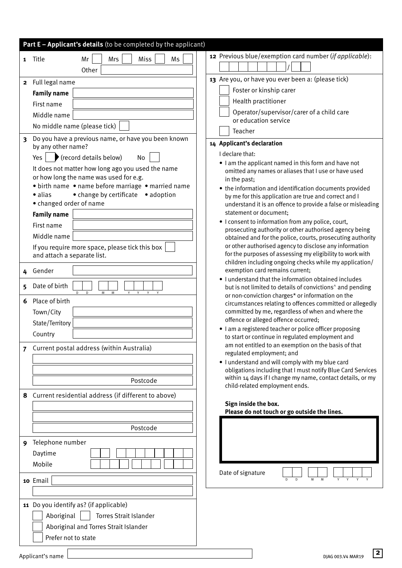|                         | Part E - Applicant's details (to be completed by the applicant)                                     |                                                                                                                           |
|-------------------------|-----------------------------------------------------------------------------------------------------|---------------------------------------------------------------------------------------------------------------------------|
| 1                       | Mr<br>Miss<br>Ms<br>Mrs<br>Title                                                                    | 12 Previous blue/exemption card number (if applicable):                                                                   |
|                         | Other                                                                                               |                                                                                                                           |
| $\overline{\mathbf{2}}$ | Full legal name                                                                                     | 13 Are you, or have you ever been a: (please tick)                                                                        |
|                         | <b>Family name</b>                                                                                  | Foster or kinship carer                                                                                                   |
|                         | First name                                                                                          | Health practitioner                                                                                                       |
|                         | Middle name                                                                                         | Operator/supervisor/carer of a child care                                                                                 |
|                         | No middle name (please tick)                                                                        | or education service                                                                                                      |
| $\overline{\mathbf{3}}$ | Do you have a previous name, or have you been known                                                 | Teacher                                                                                                                   |
|                         | by any other name?                                                                                  | 14 Applicant's declaration                                                                                                |
|                         | (record details below)<br>Yes<br>No                                                                 | I declare that:                                                                                                           |
|                         | It does not matter how long ago you used the name                                                   | • I am the applicant named in this form and have not<br>omitted any names or aliases that I use or have used              |
|                         | or how long the name was used for e.g.                                                              | in the past;                                                                                                              |
|                         | • birth name • name before marriage • married name<br>• change by certificate • adoption<br>· alias | • the information and identification documents provided                                                                   |
|                         | • changed order of name                                                                             | by me for this application are true and correct and I<br>understand it is an offence to provide a false or misleading     |
|                         | <b>Family name</b>                                                                                  | statement or document;                                                                                                    |
|                         | First name                                                                                          | • I consent to information from any police, court,                                                                        |
|                         | Middle name                                                                                         | prosecuting authority or other authorised agency being<br>obtained and for the police, courts, prosecuting authority      |
|                         | If you require more space, please tick this box                                                     | or other authorised agency to disclose any information                                                                    |
|                         | and attach a separate list.                                                                         | for the purposes of assessing my eligibility to work with                                                                 |
| 4                       | Gender                                                                                              | children including ongoing checks while my application/<br>exemption card remains current;                                |
|                         |                                                                                                     | . I understand that the information obtained includes                                                                     |
| 5                       | Date of birth<br>M<br>D.<br>M<br>$\vee$                                                             | but is not limited to details of convictions <sup>^</sup> and pending<br>or non-conviction charges* or information on the |
| 6                       | Place of birth                                                                                      | circumstances relating to offences committed or allegedly                                                                 |
|                         | Town/City                                                                                           | committed by me, regardless of when and where the                                                                         |
|                         | State/Territory                                                                                     | offence or alleged offence occurred;<br>I am a registered teacher or police officer proposing                             |
|                         | Country                                                                                             | to start or continue in regulated employment and                                                                          |
| $\overline{7}$          | Current postal address (within Australia)                                                           | am not entitled to an exemption on the basis of that                                                                      |
|                         |                                                                                                     | regulated employment; and<br>. I understand and will comply with my blue card                                             |
|                         |                                                                                                     | obligations including that I must notify Blue Card Services                                                               |
|                         | Postcode                                                                                            | within 14 days if I change my name, contact details, or my                                                                |
| 8                       | Current residential address (if different to above)                                                 | child-related employment ends.                                                                                            |
|                         |                                                                                                     | Sign inside the box.                                                                                                      |
|                         |                                                                                                     | Please do not touch or go outside the lines.                                                                              |
|                         | Postcode                                                                                            |                                                                                                                           |
|                         | Telephone number                                                                                    |                                                                                                                           |
| 9                       | Daytime                                                                                             |                                                                                                                           |
|                         | Mobile                                                                                              |                                                                                                                           |
|                         |                                                                                                     | Date of signature                                                                                                         |
|                         | 10 Email                                                                                            | D<br>D<br>M<br>M<br>Y<br>Y                                                                                                |
|                         |                                                                                                     |                                                                                                                           |
|                         | 11 Do you identify as? (if applicable)                                                              |                                                                                                                           |
|                         | Aboriginal<br><b>Torres Strait Islander</b>                                                         |                                                                                                                           |
|                         | Aboriginal and Torres Strait Islander                                                               |                                                                                                                           |
|                         | Prefer not to state                                                                                 |                                                                                                                           |

**2**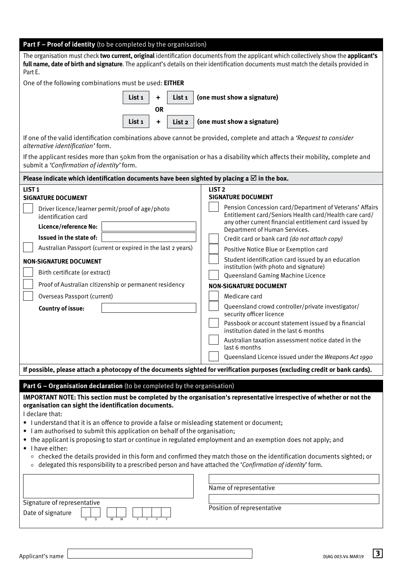| <b>Part F - Proof of identity</b> (to be completed by the organisation) |  |  |  |  |
|-------------------------------------------------------------------------|--|--|--|--|
|-------------------------------------------------------------------------|--|--|--|--|

The organisation must check **two current, original** identification documents from the applicant which collectively show the **applicant's full name, date of birth and signature**. The applicant's details on their identification documents must match the details provided in Part E.

One of the following combinations must be used: **EITHER** 



If one of the valid identification combinations above cannot be provided, complete and attach a *'Request to consider alternative identification'* form.

If the applicant resides more than 50km from the organisation or has a disability which affects their mobility, complete and submit a *'Confirmation of identity'* form.

| Please indicate which identification documents have been sighted by placing a $\boxtimes$ in the box.                                                                                       |                                                                                                                                                                                                                                                                                                                                                                 |  |  |  |  |
|---------------------------------------------------------------------------------------------------------------------------------------------------------------------------------------------|-----------------------------------------------------------------------------------------------------------------------------------------------------------------------------------------------------------------------------------------------------------------------------------------------------------------------------------------------------------------|--|--|--|--|
| LIST <sub>1</sub><br><b>SIGNATURE DOCUMENT</b>                                                                                                                                              | LIST <sub>2</sub><br><b>SIGNATURE DOCUMENT</b>                                                                                                                                                                                                                                                                                                                  |  |  |  |  |
| Driver licence/learner permit/proof of age/photo<br>identification card<br>Licence/reference No:<br>Issued in the state of:<br>Australian Passport (current or expired in the last 2 years) | Pension Concession card/Department of Veterans' Affairs<br>Entitlement card/Seniors Health card/Health care card/<br>any other current financial entitlement card issued by<br>Department of Human Services.<br>Credit card or bank card (do not attach copy)<br>Positive Notice Blue or Exemption card                                                         |  |  |  |  |
| <b>NON-SIGNATURE DOCUMENT</b><br>Birth certificate (or extract)<br>Proof of Australian citizenship or permanent residency                                                                   | Student identification card issued by an education<br>institution (with photo and signature)<br>Queensland Gaming Machine Licence                                                                                                                                                                                                                               |  |  |  |  |
| Overseas Passport (current)<br><b>Country of issue:</b>                                                                                                                                     | <b>NON-SIGNATURE DOCUMENT</b><br>Medicare card<br>Queensland crowd controller/private investigator/<br>security officer licence<br>Passbook or account statement issued by a financial<br>institution dated in the last 6 months<br>Australian taxation assessment notice dated in the<br>last 6 months<br>Queensland Licence issued under the Weapons Act 1990 |  |  |  |  |
| If possible, please attach a photocopy of the documents sighted for verification purposes (excluding credit or bank cards).                                                                 |                                                                                                                                                                                                                                                                                                                                                                 |  |  |  |  |

### **Part G – Organisation declaration** (to be completed by the organisation)

**IMPORTANT NOTE: This section must be completed by the organisation's representative irrespective of whether or not the organisation can sight the identification documents.** 

I declare that:

- I understand that it is an offence to provide a false or misleading statement or document;
- I am authorised to submit this application on behalf of the organisation;
- the applicant is proposing to start or continue in regulated employment and an exemption does not apply; and
- I have either:
	- $\circ$  checked the details provided in this form and confirmed they match those on the identification documents sighted; or
	- delegated this responsibility to a prescribed person and have attached the '*Confirmation of identity*' form.

| Signature of representative |              |        |  |  |
|-----------------------------|--------------|--------|--|--|
| Date of signature           |              |        |  |  |
|                             | <sup>n</sup> | M<br>м |  |  |

Name of representative

Position of representative